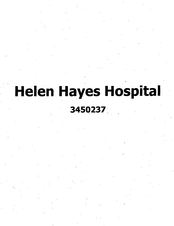# **Helen Hayes Hospital**

**/**

**;**

# **3450237**

**(**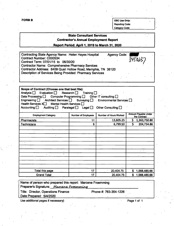÷,

**FORM** B **OSC** Use Only: **Reporting Code: Category Code:**

#### **State Consultant Services Contractor's Annual Employment Report**

**Report Period: April 1,2019 to March 31, 2020**

| <b>Contractor Name: Comprehensive Pharmacy Services</b>                                                                    | 3450237 |  |
|----------------------------------------------------------------------------------------------------------------------------|---------|--|
| Contractor Address: 6409 Quail Hollow Road, Memphis, TN 38120<br>Description of Services Being Provided: Pharmacy Services |         |  |

| Scope of Contract (Choose one that best fits):<br>Evaluation $\Box$ Research $\Box$ Training $\Box$<br>Analysis <b>□</b><br>Data Processing $\Box$ Computer Programming $\Box$ Other IT consulting $\Box$<br>Engineering   Architect Services   Surveying   Environmental Services  <br>Health Services X <sup>1</sup><br>Mental Health Services<br>Accounting $\Box$<br>Auditing $\square$<br>Paralegal $\Box$ Legal $\Box$<br>Other Consulting $\square$ |                            |                        |    |                                      |  |
|------------------------------------------------------------------------------------------------------------------------------------------------------------------------------------------------------------------------------------------------------------------------------------------------------------------------------------------------------------------------------------------------------------------------------------------------------------|----------------------------|------------------------|----|--------------------------------------|--|
| <b>Employment Category</b>                                                                                                                                                                                                                                                                                                                                                                                                                                 | <b>Number of Employees</b> | Number of Hours Worked |    | Amount Payable Under<br>the Contract |  |
| Pharmacists                                                                                                                                                                                                                                                                                                                                                                                                                                                | 11                         | 13,605.25              | \$ | 1,363,750.80                         |  |
| <b>Technicians</b>                                                                                                                                                                                                                                                                                                                                                                                                                                         | 6                          | 6,799.50               | Ś. | 204,734.86                           |  |
|                                                                                                                                                                                                                                                                                                                                                                                                                                                            |                            |                        |    |                                      |  |
|                                                                                                                                                                                                                                                                                                                                                                                                                                                            |                            |                        |    |                                      |  |
|                                                                                                                                                                                                                                                                                                                                                                                                                                                            |                            |                        |    |                                      |  |
|                                                                                                                                                                                                                                                                                                                                                                                                                                                            |                            |                        |    |                                      |  |
|                                                                                                                                                                                                                                                                                                                                                                                                                                                            |                            |                        |    |                                      |  |
|                                                                                                                                                                                                                                                                                                                                                                                                                                                            |                            |                        |    |                                      |  |
|                                                                                                                                                                                                                                                                                                                                                                                                                                                            |                            |                        |    |                                      |  |
|                                                                                                                                                                                                                                                                                                                                                                                                                                                            |                            |                        |    |                                      |  |
|                                                                                                                                                                                                                                                                                                                                                                                                                                                            |                            |                        |    |                                      |  |
|                                                                                                                                                                                                                                                                                                                                                                                                                                                            |                            |                        |    |                                      |  |
|                                                                                                                                                                                                                                                                                                                                                                                                                                                            |                            |                        |    |                                      |  |
| Total this page                                                                                                                                                                                                                                                                                                                                                                                                                                            | 17                         | 20,404.75              | S  | 1,568,485.66                         |  |
| <b>Grand Total</b>                                                                                                                                                                                                                                                                                                                                                                                                                                         | 17                         | 20,404.75              | \$ | 1,568,485.66                         |  |

Name of person who prepared this report: Marcene Froemming Preparer's Signature: Marcene Froemming Title: Director, Operations Finance Date Prepared: 5/4/2020 Phone#: 763-354-1226 Use additional pages if necessary) example 2 and 2 and 2 and 2 and 2 and 2 and 2 and 2 and 2 and 2 and 2 and 2 and 2 and 2 and 2 and 2 and 2 and 2 and 2 and 2 and 2 and 2 and 2 and 2 and 2 and 2 and 2 and 2 and 2 and 2 and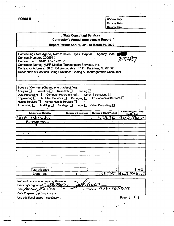| <b>FORM B</b>                                                                     |                                                | OSC Use Only:                                          |                                             |  |
|-----------------------------------------------------------------------------------|------------------------------------------------|--------------------------------------------------------|---------------------------------------------|--|
|                                                                                   |                                                | <b>Reporting Code:</b>                                 |                                             |  |
|                                                                                   |                                                |                                                        |                                             |  |
|                                                                                   |                                                | <b>Category Code:</b>                                  |                                             |  |
|                                                                                   | <b>State Consultant Services</b>               |                                                        |                                             |  |
|                                                                                   |                                                |                                                        |                                             |  |
|                                                                                   | <b>Contractor's Annual Employment Report</b>   |                                                        |                                             |  |
|                                                                                   | Report Period: April 1, 2019 to March 31, 2020 |                                                        |                                             |  |
|                                                                                   |                                                |                                                        |                                             |  |
| Contracting State Agency Name: Helen Hayes Hospital                               |                                                | Agency Code:                                           |                                             |  |
| Contract Number: C000541                                                          |                                                |                                                        | 342093                                      |  |
| Contract Term: 01/01/17 - 12/31/21                                                |                                                |                                                        |                                             |  |
| Contractor Name: NJPR Medical Transcription Services, Inc.                        |                                                |                                                        |                                             |  |
| Contractor Address: 80 E. Ridgewood Ave., 4th Fl., Paramus, NJ 07652              |                                                |                                                        |                                             |  |
| Description of Services Being Provided: Coding & Documentation Consultant         |                                                |                                                        |                                             |  |
|                                                                                   |                                                |                                                        |                                             |  |
|                                                                                   |                                                |                                                        |                                             |  |
|                                                                                   |                                                |                                                        |                                             |  |
| Scope of Contract (Choose one that best fits):                                    |                                                |                                                        |                                             |  |
| Analysis $\Box$<br>Evaluation $\square$                                           | Research $\Box$<br>Training $\Box$             |                                                        |                                             |  |
| Data Processing $\square$<br>Computer Programming $\square$<br>Engineering $\Box$ | Architect Services $\Box$ Surveying $\Box$     | Other IT consulting $\Box$<br>Environmental Services [ |                                             |  |
| Mental Health Services<br>Health Services $\square$                               |                                                |                                                        |                                             |  |
| Accounting $\square$<br>Auditing $\square$                                        | Paralegal $\Box$<br>Legal <b>□</b>             | Other Consulting X                                     |                                             |  |
|                                                                                   |                                                |                                                        |                                             |  |
| <b>Employment Category</b>                                                        | Number of Employees                            | Number of Hours Worked                                 | <b>Amount Payable Under</b><br>the Contract |  |
|                                                                                   |                                                |                                                        |                                             |  |
|                                                                                   |                                                |                                                        |                                             |  |
| Herilth<br><u>Intornation</u>                                                     |                                                | 405.15                                                 |                                             |  |
| <u>Hanagement</u>                                                                 |                                                |                                                        |                                             |  |
|                                                                                   |                                                |                                                        |                                             |  |
|                                                                                   |                                                |                                                        |                                             |  |
|                                                                                   |                                                |                                                        |                                             |  |
|                                                                                   |                                                |                                                        |                                             |  |
|                                                                                   |                                                |                                                        |                                             |  |
|                                                                                   |                                                |                                                        |                                             |  |
|                                                                                   |                                                |                                                        |                                             |  |
|                                                                                   |                                                |                                                        |                                             |  |
|                                                                                   |                                                |                                                        |                                             |  |
|                                                                                   |                                                |                                                        |                                             |  |
|                                                                                   |                                                |                                                        |                                             |  |
|                                                                                   | 0                                              |                                                        | \$0.00                                      |  |
| <b>Total this page</b>                                                            |                                                |                                                        |                                             |  |
| <b>Grand Total</b>                                                                |                                                | 40575                                                  | 162,596.1                                   |  |
|                                                                                   |                                                |                                                        |                                             |  |
| Name of person who prepared this report:                                          |                                                |                                                        |                                             |  |
| Preparer's Signature:                                                             |                                                |                                                        |                                             |  |
| Title: PRESIDENTO CEO                                                             |                                                | Phone #: 973-334-3443                                  |                                             |  |
| Date Prepared: 04/10/2020                                                         |                                                |                                                        |                                             |  |
| Use additional pages if necessary).                                               |                                                |                                                        | Page                                        |  |
|                                                                                   |                                                |                                                        |                                             |  |
|                                                                                   |                                                |                                                        |                                             |  |
|                                                                                   |                                                |                                                        |                                             |  |
|                                                                                   |                                                |                                                        |                                             |  |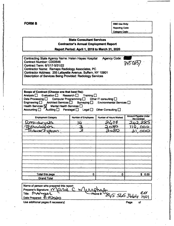**FORM B OSC** Use Only:

:■

*;*

Reporting Code: Category Code:

#### **State Consultant Services Contractor's Annual Employment Report**

**Report Period: April 1,2019 to March 31, 2020**

| Contracting State Agency Name: Helen Hayes Hospital<br><b>Contract Number: C000546</b><br>Contract Term: 6/1/17-5/31/22<br>Contractor Name: Ramapo Radiology Associates, PC<br>Contractor Address: 255 Lafayette Avenue, Suffern, NY 10901<br>Description of Services Being Provided: Radiology Services |                                                                                                                              | <b>Agency Code:</b>                                                  | 3450237                                     |
|----------------------------------------------------------------------------------------------------------------------------------------------------------------------------------------------------------------------------------------------------------------------------------------------------------|------------------------------------------------------------------------------------------------------------------------------|----------------------------------------------------------------------|---------------------------------------------|
|                                                                                                                                                                                                                                                                                                          |                                                                                                                              |                                                                      |                                             |
|                                                                                                                                                                                                                                                                                                          |                                                                                                                              |                                                                      |                                             |
| Scope of Contract (Choose one that best fits):<br>Analysis $\square$<br>Evaluation $\Box$<br>Data Processing <b>D</b><br>Architect Services [<br>Engineering $\square$<br>Health Services $\overline{\mathbf{M}}$<br>Mental Health Services [<br>Accounting $\square$<br>Auditing $\square$              | Research $\Box$<br>Training $\square$<br>Computer Programming   Other IT consulting  <br>Paralegal $\Box$<br>Legal $\square$ | Surveying □ Environmental Services □<br>Other Consulting $\square$ . |                                             |
| <b>Employment Category</b>                                                                                                                                                                                                                                                                               | <b>Number of Employees</b>                                                                                                   | <b>Number of Hours Worked</b>                                        | <b>Amount Payable Under</b><br>the Contract |
| 2Diolocusis.                                                                                                                                                                                                                                                                                             |                                                                                                                              | 08                                                                   |                                             |
| Prhnologists.                                                                                                                                                                                                                                                                                            |                                                                                                                              | 080                                                                  |                                             |
| <u>FIDAOD</u>                                                                                                                                                                                                                                                                                            |                                                                                                                              | <b>080</b>                                                           |                                             |
|                                                                                                                                                                                                                                                                                                          |                                                                                                                              |                                                                      |                                             |
|                                                                                                                                                                                                                                                                                                          |                                                                                                                              |                                                                      |                                             |
|                                                                                                                                                                                                                                                                                                          |                                                                                                                              |                                                                      |                                             |
|                                                                                                                                                                                                                                                                                                          |                                                                                                                              |                                                                      |                                             |
|                                                                                                                                                                                                                                                                                                          |                                                                                                                              |                                                                      |                                             |
|                                                                                                                                                                                                                                                                                                          |                                                                                                                              |                                                                      |                                             |
|                                                                                                                                                                                                                                                                                                          |                                                                                                                              |                                                                      |                                             |
|                                                                                                                                                                                                                                                                                                          |                                                                                                                              |                                                                      |                                             |
|                                                                                                                                                                                                                                                                                                          |                                                                                                                              |                                                                      |                                             |
| Total this page                                                                                                                                                                                                                                                                                          | 0                                                                                                                            | 0                                                                    | \$0.00                                      |
| <b>Grand Total</b>                                                                                                                                                                                                                                                                                       |                                                                                                                              |                                                                      |                                             |
|                                                                                                                                                                                                                                                                                                          |                                                                                                                              |                                                                      |                                             |
| Name of person who prepared this report:                                                                                                                                                                                                                                                                 |                                                                                                                              |                                                                      |                                             |
| Preparer's Signature: YV \arue                                                                                                                                                                                                                                                                           |                                                                                                                              |                                                                      |                                             |
| Title: MAMuger                                                                                                                                                                                                                                                                                           |                                                                                                                              |                                                                      | $45$ $565$ $3664$ $1401$                    |
| Date Prepared: 5151202                                                                                                                                                                                                                                                                                   |                                                                                                                              |                                                                      |                                             |

Use additional pages if necessary) Page of

**r**

*i A*

R-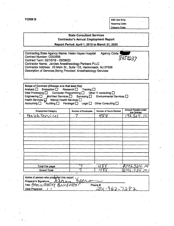s

*)*

**FORM B** OSC Use Only: **Reporting Code; Category Code:**

## State Consultant Services Contractor's Annual Employment Report Report Period: April 1,2019 to March 31, 2020 Contracting State Agency Name: Helen Hayes Hospital Agency Code: Contract Number: G000556 450237 Contract Term: 05/10/18 - 05/09/23 Contractor Name: Jandee Anesthesiology Partners PLLC Contractor Address: 25 Main St., Suite 103, Hackensack, NJ 07508 Description of Services Being Provided: Anesthesiology Services Scope of Contract (Choose one that best fits):<br>Analysis D Evaluation D Research D 1 Analysis  $\Box$  Evaluation  $\Box$  Research  $\Box$  Training  $\Box$ Data Processing  $\Box$  Computer Programming  $\Box$ . Other IT consulting  $\Box$ Engineering rchitect Services E.J. Surveying E.J. Environmental Services Mental Health Services  $\Box$  , Health Services Accounting  $\Box$   $\Box$   $\Box$  Paralegal  $\Box$  Legal  $\Box$  Other Consulting  $\Box$ **Amount Payable Under there Contract Category Contract Employees Number of Hours Worked**<br> **FILA**  $H \wedge^{2} S$ Sei/^ws f-pc • **7 / <sup>M</sup> , yo** Total this page 7  $\frac{1}{2}$   $\frac{1}{2}$   $\frac{1}{2}$   $\frac{1}{2}$   $\frac{1}{2}$   $\frac{1}{2}$   $\frac{1}{2}$   $\frac{1}{2}$   $\frac{1}{2}$   $\frac{1}{2}$   $\frac{1}{2}$   $\frac{1}{2}$   $\frac{1}{2}$   $\frac{1}{2}$   $\frac{1}{2}$   $\frac{1}{2}$   $\frac{1}{2}$   $\frac{1}{2}$   $\frac{1}{2}$   $\frac{1}{2}$   $\frac$ Grand Total

| Name of person who predared this report: $\sqrt{ }$                   |           |  |
|-----------------------------------------------------------------------|-----------|--|
| Neera<br>Preparer's Signature: $\mathbb{R}$ $\mathbb{C}$ $\mathbb{C}$ |           |  |
| Title: Administrative Boordinator                                     | Phone #:  |  |
| Date Prepared:                                                        | -962-7282 |  |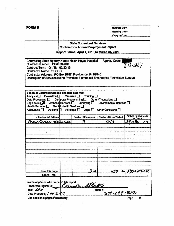|                                                                                                                                                                                                                                                                                                        |                                                            |                                                                                         | OSC Use Only:<br><b>Reporting Code:</b>                                              |                             |  |
|--------------------------------------------------------------------------------------------------------------------------------------------------------------------------------------------------------------------------------------------------------------------------------------------------------|------------------------------------------------------------|-----------------------------------------------------------------------------------------|--------------------------------------------------------------------------------------|-----------------------------|--|
|                                                                                                                                                                                                                                                                                                        |                                                            |                                                                                         | <b>Category Code:</b>                                                                |                             |  |
|                                                                                                                                                                                                                                                                                                        |                                                            |                                                                                         |                                                                                      |                             |  |
|                                                                                                                                                                                                                                                                                                        |                                                            | <b>State Consultant Services</b><br><b>Contractor's Annual Employment Report</b>        |                                                                                      |                             |  |
|                                                                                                                                                                                                                                                                                                        |                                                            | <b>Report Period: April 1, 2019 to March 31, 2020</b>                                   |                                                                                      |                             |  |
|                                                                                                                                                                                                                                                                                                        |                                                            |                                                                                         |                                                                                      |                             |  |
| Contracting State Agency Name: Helen Hayes Hospital<br>Contract Number: PO#0069607<br>Contract Term: 10/1/18 - 09/30/19<br><b>Contractor Name: DESCO</b><br>Contractor Address: PO Box 6787, Providence, RI 02940<br>Description of Services Being Provided: Biomedical Engineering Technician Support |                                                            |                                                                                         | <b>Agency Code:</b>                                                                  | 3450237                     |  |
|                                                                                                                                                                                                                                                                                                        |                                                            |                                                                                         |                                                                                      |                             |  |
| Evaluation $\Box$<br>Analysis $\square$<br>Data Processing $\square$<br>Engineering C Architect Services C Surveying<br>Health Services $\Box$<br>Accounting $\square$                                                                                                                                 | Mental Health Services<br>Auditing $\Box$ Paralegal $\Box$ | Research $\square$<br>Training $\square$<br>Computer Programming $\Box$<br>Legal $\Box$ | Other IT consulting $\square$<br>Environmental Services $\Box$<br>Other Consulting [ |                             |  |
| <b>Employment Category</b>                                                                                                                                                                                                                                                                             |                                                            | Number of Employees                                                                     | Number of Hours Worked                                                               | <b>Amount Payable Under</b> |  |
|                                                                                                                                                                                                                                                                                                        |                                                            |                                                                                         |                                                                                      |                             |  |
| reed Service Technicus                                                                                                                                                                                                                                                                                 |                                                            | 7                                                                                       | 453                                                                                  | the Contract                |  |
|                                                                                                                                                                                                                                                                                                        |                                                            |                                                                                         |                                                                                      |                             |  |
|                                                                                                                                                                                                                                                                                                        |                                                            |                                                                                         |                                                                                      |                             |  |
|                                                                                                                                                                                                                                                                                                        |                                                            |                                                                                         |                                                                                      |                             |  |
|                                                                                                                                                                                                                                                                                                        |                                                            |                                                                                         |                                                                                      |                             |  |
|                                                                                                                                                                                                                                                                                                        |                                                            |                                                                                         |                                                                                      |                             |  |
|                                                                                                                                                                                                                                                                                                        |                                                            |                                                                                         |                                                                                      |                             |  |
|                                                                                                                                                                                                                                                                                                        |                                                            |                                                                                         |                                                                                      |                             |  |
|                                                                                                                                                                                                                                                                                                        |                                                            |                                                                                         |                                                                                      |                             |  |
|                                                                                                                                                                                                                                                                                                        |                                                            |                                                                                         |                                                                                      |                             |  |
|                                                                                                                                                                                                                                                                                                        |                                                            |                                                                                         |                                                                                      |                             |  |
| Total this page<br><b>Grand Total</b>                                                                                                                                                                                                                                                                  |                                                            | $\mathbf{r}$                                                                            | 453                                                                                  | $-24,395,90,95 - 0.00$      |  |
|                                                                                                                                                                                                                                                                                                        |                                                            |                                                                                         |                                                                                      |                             |  |
| Name of person who prepared this report:<br>Preparer's Signature:<br>Title: CFD                                                                                                                                                                                                                        |                                                            | auxla Slatel                                                                            | Phone #:                                                                             |                             |  |
| Date Prepared: / I/OI 2020                                                                                                                                                                                                                                                                             |                                                            |                                                                                         | 508-298-3071                                                                         | Page<br>of                  |  |
| Use additional pages if necessary)                                                                                                                                                                                                                                                                     |                                                            |                                                                                         |                                                                                      |                             |  |
|                                                                                                                                                                                                                                                                                                        |                                                            |                                                                                         |                                                                                      |                             |  |

 $\mathbb{Z}^2$ 

 $\label{eq:2} \frac{1}{\sqrt{2}}\int_0^1\frac{1}{\sqrt{2}}\,d\mu$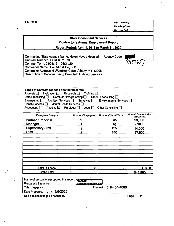**FORMS OSC Use Only: Reporting Code: Category Code:**

#### **State Consultant Services Contractor's Annual Employment Report**

**Report Period: April 1, 2019 to March 3t, 2020**

| Contracting State Agency Name: Helen Hayes Hospital              | <b>Agency Code:</b> |         |  |
|------------------------------------------------------------------|---------------------|---------|--|
| Contract Number: PO # 0071073                                    | ÷                   |         |  |
| Contract Term: 04/01/19 - 03/31/20                               |                     | 3450237 |  |
| Contractor Name: Bonadio & Co, LLP                               |                     |         |  |
| Contractor Address: 6 Wembley Court, Albany, NY 12205            |                     |         |  |
| <b>Description of Services Being Provided: Auditing Services</b> |                     |         |  |
|                                                                  |                     |         |  |
|                                                                  |                     |         |  |

| Scope of Contract (Choose one that best fits):<br>Analysis <b>D</b> Evaluation <b>D</b> Research Training D<br>Data Processing $\Box$ Computer Programming $\Box$ Other IT consulting $\Box$<br>Engineering □ Architect Services □ Surveying □<br>Health Services   Mental Health Services  <br>Accounting $\Box$ Auditing $\boxtimes$ Paralegal $\Box$ Legal $\Box$ Other Consulting $\Box$ |                     | Environmental Services |                                      |
|----------------------------------------------------------------------------------------------------------------------------------------------------------------------------------------------------------------------------------------------------------------------------------------------------------------------------------------------------------------------------------------------|---------------------|------------------------|--------------------------------------|
| <b>Employment Category</b>                                                                                                                                                                                                                                                                                                                                                                   | Number of Employees | Number of Hours Worked | Amount Payable Under<br>the Contract |
| Partner / Principal                                                                                                                                                                                                                                                                                                                                                                          |                     | 45                     | \$9,000                              |
| Manager                                                                                                                                                                                                                                                                                                                                                                                      |                     | 70                     | 9,900                                |
| <b>Supervisory Staff</b>                                                                                                                                                                                                                                                                                                                                                                     |                     | 125                    | 14,000                               |
| <b>Staff</b>                                                                                                                                                                                                                                                                                                                                                                                 |                     | 140                    | 17,000                               |
|                                                                                                                                                                                                                                                                                                                                                                                              |                     |                        |                                      |
|                                                                                                                                                                                                                                                                                                                                                                                              |                     |                        |                                      |
|                                                                                                                                                                                                                                                                                                                                                                                              |                     |                        |                                      |
|                                                                                                                                                                                                                                                                                                                                                                                              |                     |                        |                                      |
|                                                                                                                                                                                                                                                                                                                                                                                              |                     |                        |                                      |
|                                                                                                                                                                                                                                                                                                                                                                                              |                     |                        |                                      |
|                                                                                                                                                                                                                                                                                                                                                                                              |                     |                        |                                      |
|                                                                                                                                                                                                                                                                                                                                                                                              |                     |                        |                                      |
| Total this page                                                                                                                                                                                                                                                                                                                                                                              | 0                   | O                      | \$0.00                               |
| <b>Grand Total</b>                                                                                                                                                                                                                                                                                                                                                                           |                     |                        | \$49,900                             |

| Name of person who prepared this report: APPROVED |                                              |                       |  |
|---------------------------------------------------|----------------------------------------------|-----------------------|--|
| Preparer's Signature:                             | By Kennath McGivney at 3:38 pm, May 06, 2020 |                       |  |
| Title: Partner                                    |                                              | Phone #: 518-464-4080 |  |
| 5/6/2020<br>Date Prepared:                        |                                              |                       |  |
| Use additional pages if necessary)                |                                              | Page<br>οi            |  |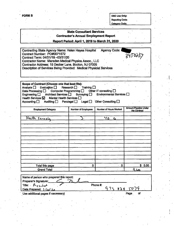'

**FORM B**  $\qquad$  **OSC** Use Only: **Reporting Code;**

**Category Code:** 

:

**1**

**I !**

### **State Consultant Services Contractor's Annual Employment Report Report Period: April 1,2019 to March 31,2020** Contracting State Agency Name: Helen Hayes Hospital Agency Code: Contract Number: PO#0071572  $3450 + 5$ Contract Term: 04/01/19.-03/31/20 Contractor Name: Marsden Medical Physics Assoc., LLC Contractor Address: 15 Decker Lane, Booton, NJ 07005 Description of Services Being Provided: Medical Physicist Services Scope of Contract (Choose one that best fits): Analysis  $\Box$  Evaluation  $\Box$  Research  $\Box$  Training  $\Box$ Data Processing  $\Box$  Computer Programming  $\Box$  Other IT consulting  $\Box$ Engineering  $\Box$  Architect Services  $\Box$  Surveying  $\Box$  Environmental Services  $\Box$ Health Services  $\boxtimes$  Mental Health Services  $\square$ <br>Accounting  $\square$  Auditing  $\square$  Paralegal  $\square$ Legal  $\Box$  Other Consulting  $\Box$ **Amount Payable Under Employment Category and <b>i Number** of **Employees A Number** of **Hours** Worked **f4e.i; tfk \$ er 1/** *ir* **C.** Total this page  $\begin{array}{ccc} & 0 & 0 \\ \end{array}$   $\begin{array}{ccc} & 0 & 0 \\ \end{array}$   $\begin{array}{ccc} & 0 & 0 \\ \end{array}$   $\begin{array}{ccc} & 0 & 0 \\ \end{array}$ Grand Total *(■* Name of person who prepared this report Preparer's Signature: Title:  $\beta_{r-5}$ , J,  $\lambda$ Phone #:  $972$  $828$ 50 Date Prepared: 3 /20/20 Use additional pages if necessary) and the contract of the contract of the Page of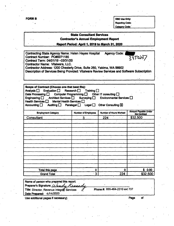**FORM B** OSC Use Only: Reporting Code:

Category Code:

# **State Consultant Services Contractor's Annual Employment Report Report Period: April 1,2019 to March 31,2020** Contracting State Agency Name; Helen Hayes Hospital Agency Code: Contract Number: PO#0071185 3450237 Contract Term: 04/01/19-03/31/20 Contractor Name: Vitalware, LLC. Contractor Address: 1200 Chesteriy Drive. Suite 260, Yakima, WA 98902 Description of Services Being Provided; Vitalware Review Services and Software Subscription Scope of Contract (Choose one that best fits):<br>Analysis  $\square$  Evaluation  $\square$  Research  $\square$  Training  $\square$ Analysis  $\Box$  Evaluation  $\Box$ <br>Data Processing  $\Box$  Comp Data Processing  $\square$  Computer Programming  $\square$  Other IT consulting  $\square$ <br>Engineering  $\square$  Architect Services  $\square$  Surveying  $\square$  Environmental S Environmental Services  $\Box$ Health Services  $\Box$  Mental Health Services  $\Box$ <br>Accounting  $\Box$  Auditing  $\Box$  Paraleoal  $\Box$  I Auditing  $\Box$  Paralegal  $\Box$  Legal  $\Box$  Other Consulting  $\boxtimes$ Amount Payable *Under* Employment Category **Number of Employees Number of Hours Worked Consultant 3** 3 224 \$32,500 Total this page 0 0 \$ 0.00 **Grand Total 19 224 31 224 322.500**

Name of person who prepared this report: Preparer's Signature: *(A) endy* Preparer's Signature: *[A]andy Kannady*<br>Title: Director, Revenue Integrity Services *O* Date Prepared: 4/14/2020 Phone #: 855-464-2310 ext 737

Use additional pages if necessary) example of the example of the example of the example of the example of the example of the example of the example of the example of the example of the example of the example of the example